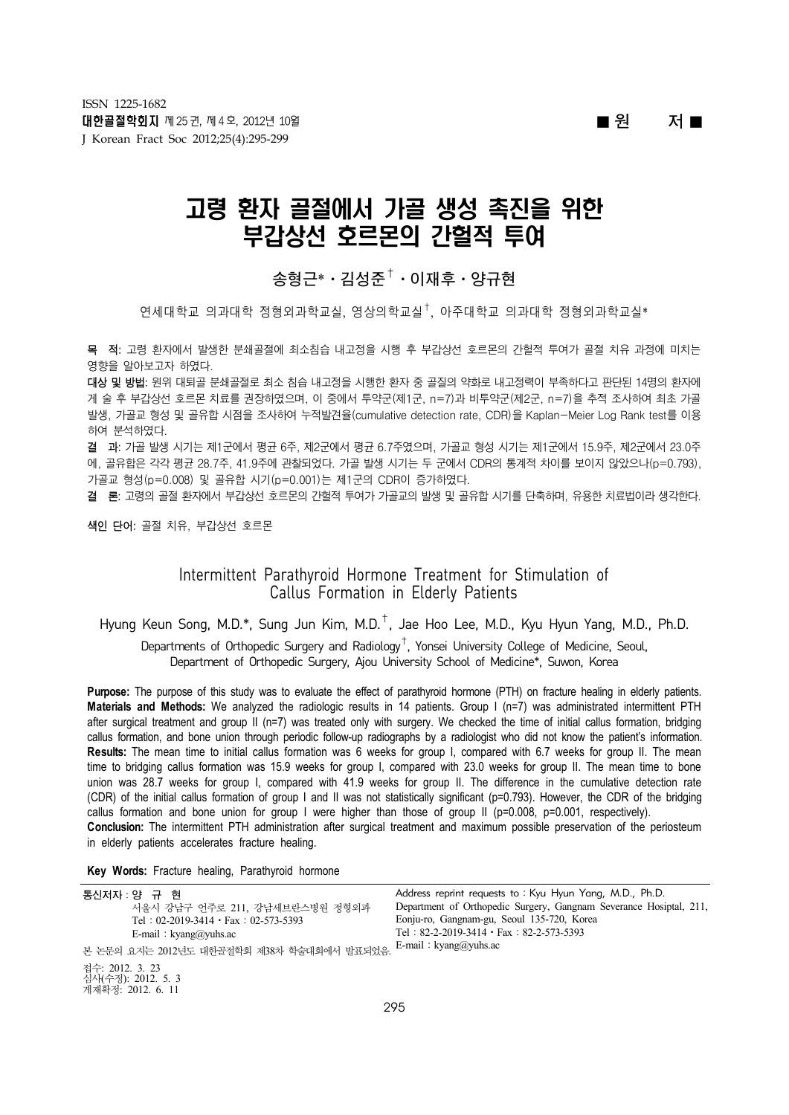■ **원 저** ■

# 고령 환자 골절에서 가골 생성 촉진을 위한 부갑상선 호르몬의 간헐적 투여

## **송형근**\*ㆍ**김성준**†ㆍ**이재후**ㆍ**양규현**

 $\mathfrak{S}$ 세대학 $\alpha$  의과대학 정형외과학교실, 영상의학교실 $^\dagger$ , 아주대학교 의과대학 정형외과학교실\*

목 적: 고령 환자에서 발생한 분쇄골절에 최소침습 내고정을 시행 후 부갑상선 호르몬의 간헐적 투여가 골절 치유 과정에 미치는 영향을 알아보고자 하였다.

대상 및 방법: 원위 대퇴골 분쇄골절로 최소 침습 내고정을 시행한 환자 중 골질의 약화로 내고정력이 부족하다고 판단된 14명의 환자에 게 술 후 부갑상선 호르몬 치료를 권장하였으며, 이 중에서 투약군(제1군, n=7)과 비투약군(제2군, n=7)을 추적 조사하여 최초 가골 발생, 가골교 형성 및 골유합 시점을 조사하여 누적발견율(cumulative detection rate, CDR)을 Kaplan-Meier Log Rank test를 이용 하여 분석하였다.

결 과: 가골 발생 시기는 제1군에서 평균 6주, 제2군에서 평균 6.7주였으며, 가골교 형성 시기는 제1군에서 15.9주, 제2군에서 23.0주 에, 골유합은 각각 평균 28.7주, 41.9주에 관찰되었다. 가골 발생 시기는 두 군에서 CDR의 통계적 차이를 보이지 않았으나(p=0.793), 가골교 형성(p=0.008) 및 골유합 시기(p=0.001)는 제1군의 CDR이 증가하였다.

결 론: 고령의 골절 환자에서 부갑상선 호르몬의 간헐적 투여가 가골교의 발생 및 골유합 시기를 단축하며, 유용한 치료법이라 생각한다.

색인 단어: 골절 치유, 부갑상선 호르몬

## Intermittent Parathyroid Hormone Treatment for Stimulation of Callus Formation in Elderly Patients

Hyung Keun Song, M.D.\*, Sung Jun Kim, M.D.†, Jae Hoo Lee, M.D., Kyu Hyun Yang, M.D., Ph.D.

Departments of Orthopedic Surgery and Radiology†, Yonsei University College of Medicine, Seoul, Department of Orthopedic Surgery, Ajou University School of Medicine\*, Suwon, Korea

**Purpose:** The purpose of this study was to evaluate the effect of parathyroid hormone (PTH) on fracture healing in elderly patients. **Materials and Methods:** We analyzed the radiologic results in 14 patients. Group I (n=7) was administrated intermittent PTH after surgical treatment and group II (n=7) was treated only with surgery. We checked the time of initial callus formation, bridging callus formation, and bone union through periodic follow-up radiographs by a radiologist who did not know the patient's information. **Results:** The mean time to initial callus formation was 6 weeks for group I, compared with 6.7 weeks for group II. The mean time to bridging callus formation was 15.9 weeks for group I, compared with 23.0 weeks for group II. The mean time to bone union was 28.7 weeks for group I, compared with 41.9 weeks for group II. The difference in the cumulative detection rate (CDR) of the initial callus formation of group I and II was not statistically significant (p=0.793). However, the CDR of the bridging callus formation and bone union for group I were higher than those of group II (p=0.008, p=0.001, respectively). **Conclusion:** The intermittent PTH administration after surgical treatment and maximum possible preservation of the periosteum in elderly patients accelerates fracture healing.

**Key Words:** Fracture healing, Parathyroid hormone

| 통신저자 : 양 규 현                                               | Address reprint requests to: Kyu Hyun Yang, M.D., Ph.D.            |  |  |  |  |  |  |  |
|------------------------------------------------------------|--------------------------------------------------------------------|--|--|--|--|--|--|--|
| 서울시 강남구 언주로 211. 강남세브란스병원 정형외과                             | Department of Orthopedic Surgery, Gangnam Severance Hosiptal, 211, |  |  |  |  |  |  |  |
| Tel: $02-2019-3414 \cdot Fax : 02-573-5393$                | Eonju-ro, Gangnam-gu, Seoul 135-720, Korea                         |  |  |  |  |  |  |  |
| E-mail: $kvang@vuhs.ac$                                    | Tel: $82-2-2019-3414 \cdot Fax : 82-2-573-5393$                    |  |  |  |  |  |  |  |
| 본 논문의 요지는 2012년도 대한골절학회 제38차 학술대회에서 발표되었음.                 | E-mail: $kvang@vuhs.ac$                                            |  |  |  |  |  |  |  |
| 접수: 2012. 3. 23<br>심사(수정): 2012. 5. 3<br>게재확정: 2012. 6. 11 |                                                                    |  |  |  |  |  |  |  |
| $\sim$ $\sim$ $\sim$                                       |                                                                    |  |  |  |  |  |  |  |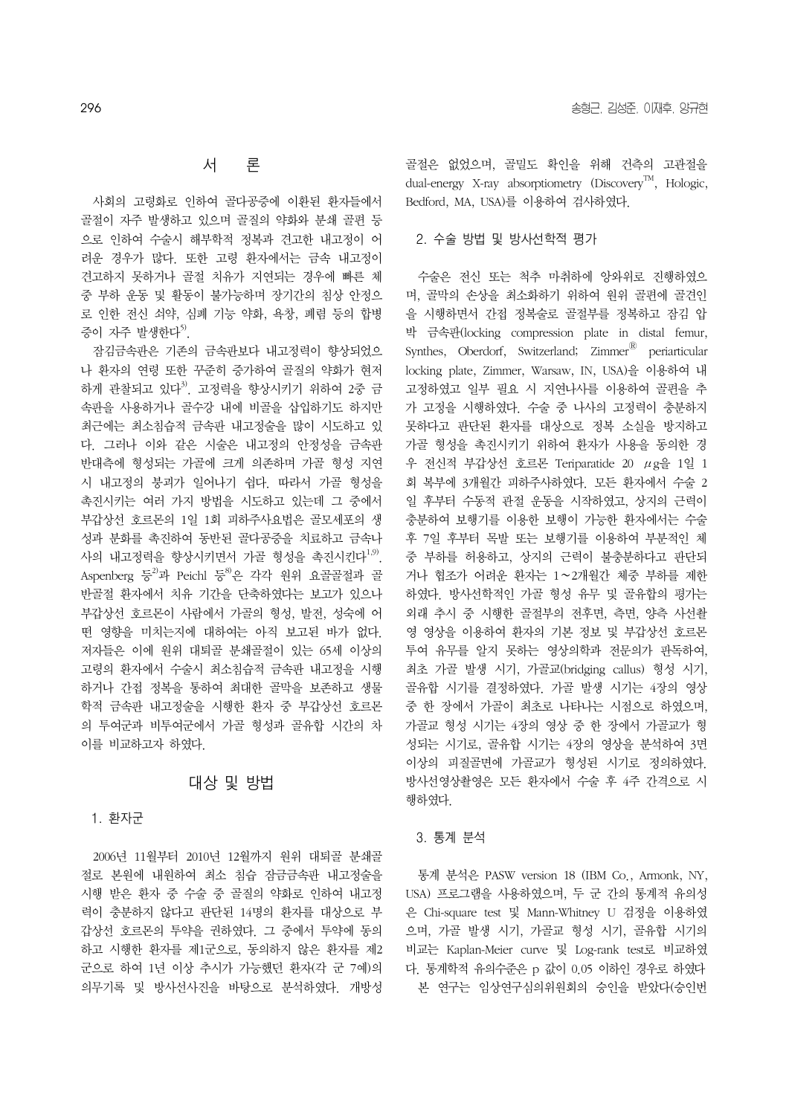#### 서 론

 사회의 고령화로 인하여 골다공증에 이환된 환자들에서 골절이 자주 발생하고 있으며 골질의 약화와 분쇄 골편 등 으로 인하여 수술시 해부학적 정복과 견고한 내고정이 어 려운 경우가 많다. 또한 고령 환자에서는 금속 내고정이 견고하지 못하거나 골절 치유가 지연되는 경우에 빠른 체 중 부하 운동 및 활동이 불가능하며 장기간의 침상 안정으 로 인한 전신 쇠약, 심폐 기능 약화, 욕창, 폐렴 등의 합병 증이 자주 발생한다<sup>5)</sup>.

 잠김금속판은 기존의 금속판보다 내고정력이 향상되었으 나 환자의 연령 또한 꾸준히 증가하여 골질의 약화가 현저 하게 관찰되고 있다<sup>3)</sup>. 고정력을 향상시키기 위하여 2중 금 속판을 사용하거나 골수강 내에 비골을 삽입하기도 하지만 최근에는 최소침습적 금속판 내고정술을 많이 시도하고 있 다. 그러나 이와 같은 시술은 내고정의 안정성을 금속판 반대측에 형성되는 가골에 크게 의존하며 가골 형성 지연 시 내고정의 붕괴가 일어나기 쉽다. 따라서 가골 형성을 촉진시키는 여러 가지 방법을 시도하고 있는데 그 중에서 부갑상선 호르몬의 1일 1회 피하주사요법은 골모세포의 생 성과 분화를 촉진하여 동반된 골다공증을 치료하고 금속나 사의 내고정력을 향상시키면서 가골 형성을 촉진시키다<sup>1,9)</sup>. Aspenberg 등<sup>2)</sup>과 Peichl 등<sup>8</sup>은 각각 워위 요골골절과 골 반골절 환자에서 치유 기간을 단축하였다는 보고가 있으나 부갑상선 호르몬이 사람에서 가골의 형성, 발전, 성숙에 어 떤 영향을 미치는지에 대하여는 아직 보고된 바가 없다. 저자들은 이에 원위 대퇴골 분쇄골절이 있는 65세 이상의 고령의 환자에서 수술시 최소침습적 금속판 내고정을 시행 하거나 간접 정복을 통하여 최대한 골막을 보존하고 생물 학적 금속판 내고정술을 시행한 환자 중 부갑상선 호르몬 의 투여군과 비투여군에서 가골 형성과 골유합 시간의 차 이를 비교하고자 하였다.

#### 대상 및 방법

#### 1. 환자군

 2006년 11월부터 2010년 12월까지 원위 대퇴골 분쇄골 절로 본원에 내원하여 최소 침습 잠금금속판 내고정술을 시행 받은 환자 중 수술 중 골질의 약화로 인하여 내고정 력이 충분하지 않다고 판단된 14명의 환자를 대상으로 부 갑상선 호르몬의 투약을 권하였다. 그 중에서 투약에 동의 하고 시행한 환자를 제1군으로, 동의하지 않은 환자를 제2 군으로 하여 1년 이상 추시가 가능했던 환자(각 군 7예)의 의무기록 및 방사선사진을 바탕으로 분석하였다. 개방성

골절은 없었으며, 골밀도 확인을 위해 건측의 고관절을 dual-energy X-ray absorptiometry (Discovery<sup>TM</sup>, Hologic, Bedford, MA, USA)를 이용하여 검사하였다.

#### 2. 수술 방법 및 방사선학적 평가

 수술은 전신 또는 척추 마취하에 앙와위로 진행하였으 며, 골막의 손상을 최소화하기 위하여 원위 골편에 골견인 을 시행하면서 간접 정복술로 골절부를 정복하고 잠김 압 박 금속판(locking compression plate in distal femur, Synthes, Oberdorf, Switzerland; Zimmer $^{\circledR}$  periarticular locking plate, Zimmer, Warsaw, IN, USA)을 이용하여 내 고정하였고 일부 필요 시 지연나사를 이용하여 골편을 추 가 고정을 시행하였다. 수술 중 나사의 고정력이 충분하지 못하다고 판단된 환자를 대상으로 정복 소실을 방지하고 가골 형성을 촉진시키기 위하여 환자가 사용을 동의한 경 우 전신적 부갑상선 호르몬 Teriparatide 20 μg을 1일 1 회 복부에 3개월간 피하주사하였다. 모든 환자에서 수술 2 일 후부터 수동적 관절 운동을 시작하였고, 상지의 근력이 충분하여 보행기를 이용한 보행이 가능한 환자에서는 수술 후 7일 후부터 목발 또는 보행기를 이용하여 부분적인 체 중 부하를 허용하고, 상지의 근력이 불충분하다고 판단되 거나 협조가 어려운 환자는 1∼2개월간 체중 부하를 제한 하였다. 방사선학적인 가골 형성 유무 및 골유합의 평가는 외래 추시 중 시행한 골절부의 전후면, 측면, 양측 사선촬 영 영상을 이용하여 환자의 기본 정보 및 부갑상선 호르몬 투여 유무를 알지 못하는 영상의학과 전문의가 판독하여, 최초 가골 발생 시기, 가골교(bridging callus) 형성 시기, 골유합 시기를 결정하였다. 가골 발생 시기는 4장의 영상 중 한 장에서 가골이 최초로 나타나는 시점으로 하였으며, 가골교 형성 시기는 4장의 영상 중 한 장에서 가골교가 형 성되는 시기로, 골유합 시기는 4장의 영상을 분석하여 3면 이상의 피질골면에 가골교가 형성된 시기로 정의하였다. 방사선영상촬영은 모든 환자에서 수술 후 4주 간격으로 시 행하였다.

#### 3. 통계 분석

 통계 분석은 PASW version 18 (IBM Co., Armonk, NY, USA) 프로그램을 사용하였으며, 두 군 간의 통계적 유의성 은 Chi-square test 및 Mann-Whitney U 검정을 이용하였 으며, 가골 발생 시기, 가골교 형성 시기, 골유합 시기의 비교는 Kaplan-Meier curve 및 Log-rank test로 비교하였 다. 통계학적 유의수준은 p 값이 0.05 이하인 경우로 하였다 본 연구는 임상연구심의위원회의 승인을 받았다(승인번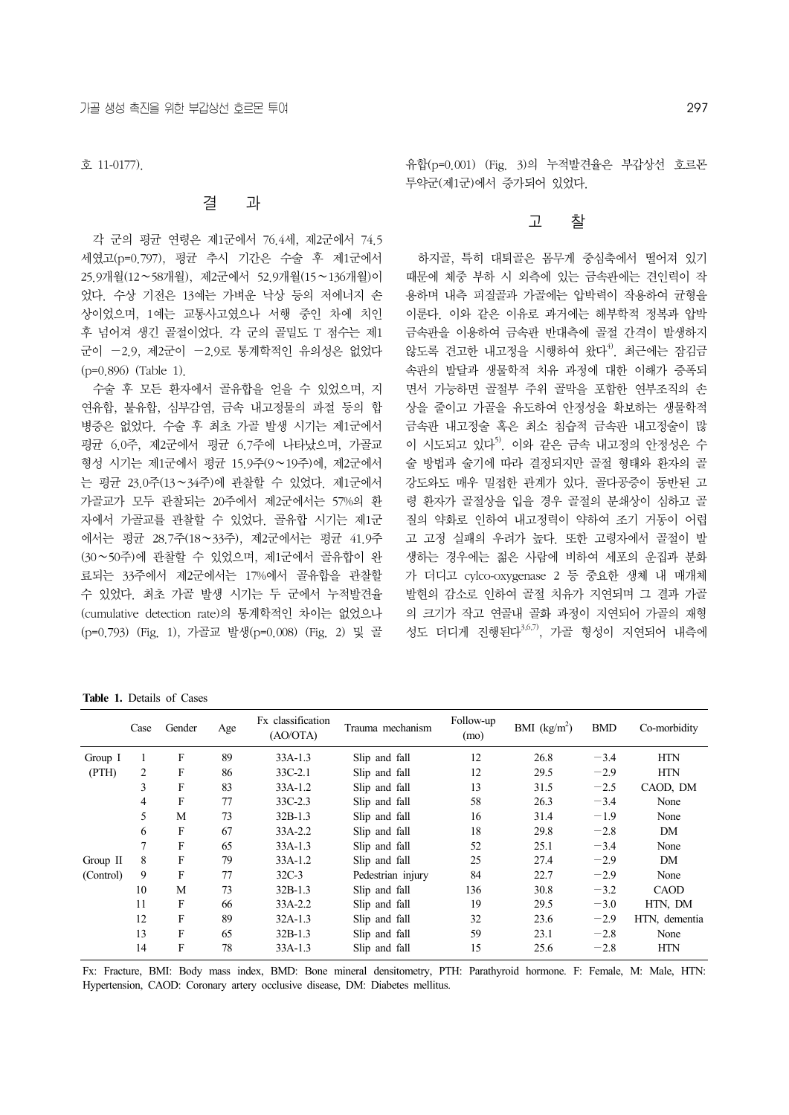호 11-0177).

#### 결 과

 각 군의 평균 연령은 제1군에서 76.4세, 제2군에서 74.5 세였고(p=0.797), 평균 추시 기간은 수술 후 제1군에서 25.9개월(12∼58개월), 제2군에서 52.9개월(15∼136개월)이 었다. 수상 기전은 13예는 가벼운 낙상 등의 저에너지 손 상이었으며, 1예는 교통사고였으나 서행 중인 차에 치인 후 넘어져 생긴 골절이었다. 각 군의 골밀도 T 점수는 제1 군이 −2.9, 제2군이 −2.9로 통계학적인 유의성은 없었다 (p=0.896) (Table 1).

수술 후 모든 환자에서 골유합을 얻을 수 있었으며, 지 연유합, 불유합, 심부감염, 금속 내고정물의 파절 등의 합 병증은 없었다. 수술 후 최초 가골 발생 시기는 제1군에서 평균 6.0주, 제2군에서 평균 6.7주에 나타났으며, 가골교 형성 시기는 제1군에서 평균 15.9주(9∼19주)에, 제2군에서 는 평균 23.0주(13∼34주)에 관찰할 수 있었다. 제1군에서 가골교가 모두 관찰되는 20주에서 제2군에서는 57%의 환 자에서 가골교를 관찰할 수 있었다. 골유합 시기는 제1군 에서는 평균 28.7주(18∼33주), 제2군에서는 평균 41.9주 (30∼50주)에 관찰할 수 있었으며, 제1군에서 골유합이 완 료되는 33주에서 제2군에서는 17%에서 골유합을 관찰할 수 있었다. 최초 가골 발생 시기는 두 군에서 누적발견율 (cumulative detection rate)의 통계학적인 차이는 없었으나 (p=0.793) (Fig. 1), 가골교 발생(p=0.008) (Fig. 2) 및 골

유합(p=0.001) (Fig. 3)의 누적발견율은 부갑상선 호르몬 투약군(제1군)에서 증가되어 있었다.

#### 고 찰

 하지골, 특히 대퇴골은 몸무게 중심축에서 떨어져 있기 때문에 체중 부하 시 외측에 있는 금속판에는 견인력이 작 용하며 내측 피질골과 가골에는 압박력이 작용하여 균형을 이룬다. 이와 같은 이유로 과거에는 해부학적 정복과 압박 금속판을 이용하여 금속판 반대측에 골절 간격이 발생하지 않도록 견고한 내고정을 시행하여 왔다<sup>4)</sup>. 최근에는 잠김금 속판의 발달과 생물학적 치유 과정에 대한 이해가 증폭되 면서 가능하면 골절부 주위 골막을 포함한 연부조직의 손 상을 줄이고 가골을 유도하여 안정성을 확보하는 생물학적 금속판 내고정술 혹은 최소 침습적 금속판 내고정술이 많 이 시도되고 있다<sup>5)</sup>. 이와 같은 금속 내고정의 안정성은 수 술 방법과 술기에 따라 결정되지만 골절 형태와 환자의 골 강도와도 매우 밀접한 관계가 있다. 골다공증이 동반된 고 령 환자가 골절상을 입을 경우 골절의 분쇄상이 심하고 골 질의 약화로 인하여 내고정력이 약하여 조기 거동이 어렵 고 고정 실패의 우려가 높다. 또한 고령자에서 골절이 발 생하는 경우에는 젊은 사람에 비하여 세포의 운집과 분화 가 더디고 cylco-oxygenase 2 등 중요한 생체 내 매개체 발현의 감소로 인하여 골절 치유가 지연되며 그 결과 가골 의 크기가 작고 연골내 골화 과정이 지연되어 가골의 재형 성도 더디게 진행된다3,6,7), 가골 형성이 지연되어 내측에

**Table 1.** Details of Cases

|           | Case           | Gender | Age | Fx classification<br>(AO/OTA) | Trauma mechanism  | Follow-up<br>(mo) | BMI $(kg/m^2)$ | <b>BMD</b> | Co-morbidity  |
|-----------|----------------|--------|-----|-------------------------------|-------------------|-------------------|----------------|------------|---------------|
| Group I   |                | F      | 89  | $33A-1.3$                     | Slip and fall     | 12                | 26.8           | $-3.4$     | <b>HTN</b>    |
| (PTH)     | 2              | F      | 86  | 33C-2.1                       | Slip and fall     | 12                | 29.5           | $-2.9$     | <b>HTN</b>    |
|           | 3              | F      | 83  | $33A-1.2$                     | Slip and fall     | 13                | 31.5           | $-2.5$     | CAOD, DM      |
|           | 4              | F      | 77  | $33C - 2.3$                   | Slip and fall     | 58                | 26.3           | $-3.4$     | None          |
|           | 5              | M      | 73  | $32B-1.3$                     | Slip and fall     | 16                | 31.4           | $-1.9$     | None          |
|           | 6              | F      | 67  | 33A-2.2                       | Slip and fall     | 18                | 29.8           | $-2.8$     | DM            |
|           | $\overline{7}$ | F      | 65  | $33A-1.3$                     | Slip and fall     | 52                | 25.1           | $-3.4$     | None          |
| Group II  | 8              | F      | 79  | $33A-1.2$                     | Slip and fall     | 25                | 27.4           | $-2.9$     | DM            |
| (Control) | 9              | F      | 77  | $32C-3$                       | Pedestrian injury | 84                | 22.7           | $-2.9$     | None          |
|           | 10             | M      | 73  | $32B-1.3$                     | Slip and fall     | 136               | 30.8           | $-3.2$     | <b>CAOD</b>   |
|           | 11             | F      | 66  | 33A-2.2                       | Slip and fall     | 19                | 29.5           | $-3.0$     | HTN, DM       |
|           | 12             | F      | 89  | $32A-1.3$                     | Slip and fall     | 32                | 23.6           | $-2.9$     | HTN, dementia |
|           | 13             | F      | 65  | $32B-1.3$                     | Slip and fall     | 59                | 23.1           | $-2.8$     | None          |
|           | 14             | F      | 78  | $33A-1.3$                     | Slip and fall     | 15                | 25.6           | $-2.8$     | <b>HTN</b>    |

Fx: Fracture, BMI: Body mass index, BMD: Bone mineral densitometry, PTH: Parathyroid hormone. F: Female, M: Male, HTN: Hypertension, CAOD: Coronary artery occlusive disease, DM: Diabetes mellitus.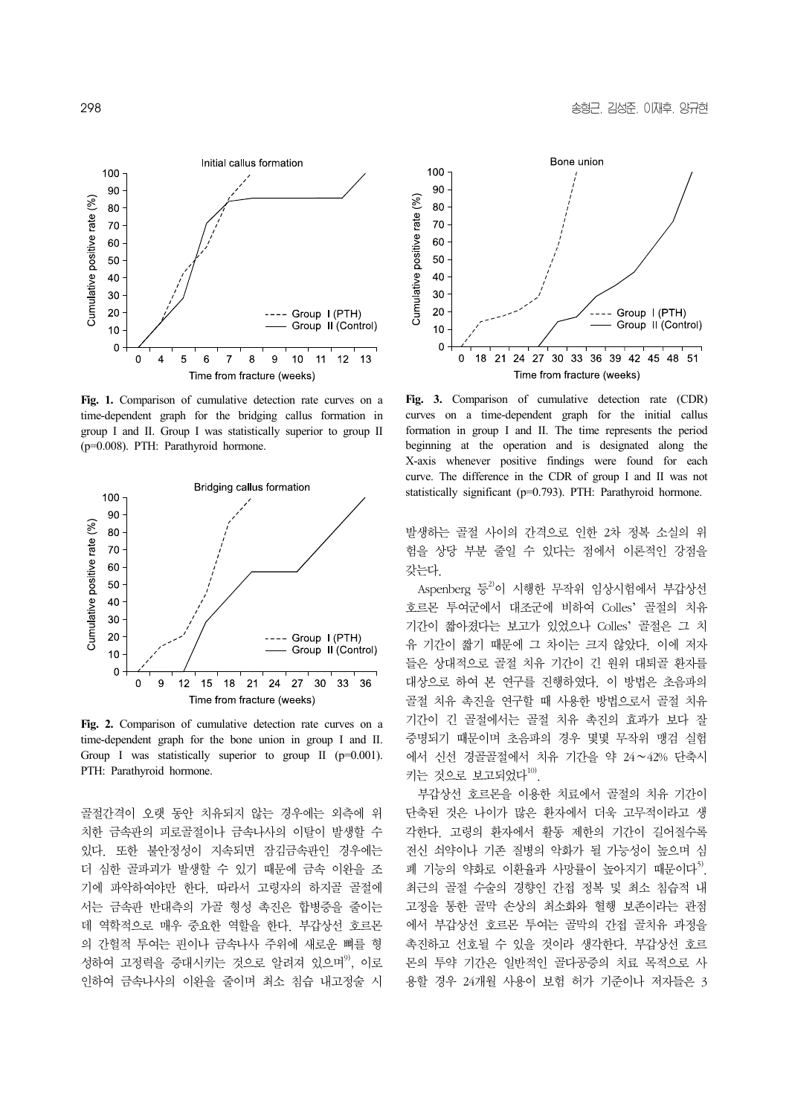

**Fig. 1.** Comparison of cumulative detection rate curves on a time-dependent graph for the bridging callus formation in group I and II. Group I was statistically superior to group II (p=0.008). PTH: Parathyroid hormone.



**Fig. 2.** Comparison of cumulative detection rate curves on a time-dependent graph for the bone union in group I and II. Group I was statistically superior to group II (p=0.001). PTH: Parathyroid hormone.

골절간격이 오랫 동안 치유되지 않는 경우에는 외측에 위 치한 금속판의 피로골절이나 금속나사의 이탈이 발생할 수 있다. 또한 불안정성이 지속되면 잠김금속판인 경우에는 더 심한 골파괴가 발생할 수 있기 때문에 금속 이완을 조 기에 파악하여야만 한다. 따라서 고령자의 하지골 골절에 서는 금속판 반대측의 가골 형성 촉진은 합병증을 줄이는 데 역학적으로 매우 중요한 역할을 한다. 부갑상선 호르몬 의 간헐적 투여는 핀이나 금속나사 주위에 새로운 뼈를 형 성하여 고정력을 증대시키는 것으로 알려져 있으며<sup>9)</sup>, 이로 인하여 금속나사의 이완을 줄이며 최소 침습 내고정술 시



**Fig. 3.** Comparison of cumulative detection rate (CDR) curves on a time-dependent graph for the initial callus formation in group I and II. The time represents the period beginning at the operation and is designated along the X-axis whenever positive findings were found for each curve. The difference in the CDR of group I and II was not statistically significant (p=0.793). PTH: Parathyroid hormone.

발생하는 골절 사이의 간격으로 인한 2차 정복 소실의 위 험을 상당 부분 줄일 수 있다는 점에서 이론적인 강점을 갖는다.

Aspenberg 등<sup>2)</sup>이 시행한 무작위 임상시험에서 부갑상선 호르몬 투여군에서 대조군에 비하여 Colles' 골절의 치유 기간이 짧아졌다는 보고가 있었으나 Colles' 골절은 그 치 유 기간이 짧기 때문에 그 차이는 크지 않았다. 이에 저자 들은 상대적으로 골절 치유 기간이 긴 원위 대퇴골 환자를 대상으로 하여 본 연구를 진행하였다. 이 방법은 초음파의 골절 치유 촉진을 연구할 때 사용한 방법으로서 골절 치유 기간이 긴 골절에서는 골절 치유 촉진의 효과가 보다 잘 증명되기 때문이며 초음파의 경우 몇몇 무작위 맹검 실험 에서 신선 경골골절에서 치유 기간을 약 24∼42% 단축시 키는 것으로 보고되었다 $^{10)}$ 

 부갑상선 호르몬을 이용한 치료에서 골절의 치유 기간이 단축된 것은 나이가 많은 환자에서 더욱 고무적이라고 생 각한다. 고령의 환자에서 활동 제한의 기간이 길어질수록 전신 쇠약이나 기존 질병의 악화가 될 가능성이 높으며 심 폐 기능의 약화로 이환율과 사망률이 높아지기 때문이다<sup>5)</sup>. 최근의 골절 수술의 경향인 간접 정복 및 최소 침습적 내 고정을 통한 골막 손상의 최소화와 혈행 보존이라는 관점 에서 부갑상선 호르몬 투여는 골막의 간접 골치유 과정을 촉진하고 선호될 수 있을 것이라 생각한다. 부갑상선 호르 몬의 투약 기간은 일반적인 골다공증의 치료 목적으로 사 용할 경우 24개월 사용이 보험 허가 기준이나 저자들은 3